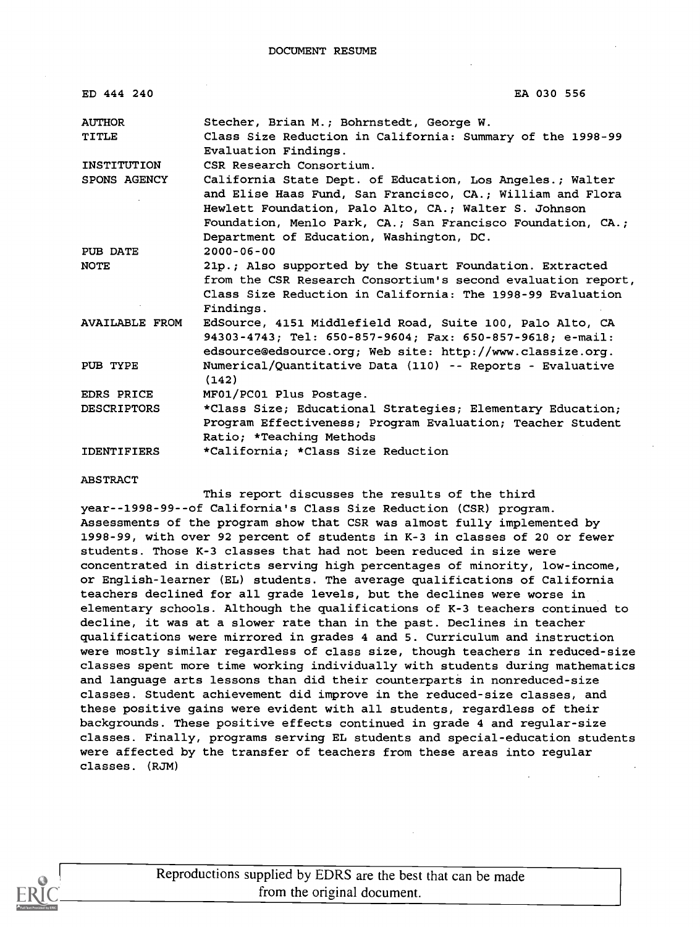DOCUMENT RESUME

| ED 444 240             | EA 030 556                                                                                                                                                                                                                                                                                  |
|------------------------|---------------------------------------------------------------------------------------------------------------------------------------------------------------------------------------------------------------------------------------------------------------------------------------------|
| <b>AUTHOR</b><br>TITLE | Stecher, Brian M.; Bohrnstedt, George W.<br>Class Size Reduction in California: Summary of the 1998-99<br>Evaluation Findings.                                                                                                                                                              |
| INSTITUTION            | CSR Research Consortium.                                                                                                                                                                                                                                                                    |
| SPONS AGENCY           | California State Dept. of Education, Los Angeles.; Walter<br>and Elise Haas Fund, San Francisco, CA.: William and Flora<br>Hewlett Foundation, Palo Alto, CA.; Walter S. Johnson<br>Foundation, Menlo Park, CA.; San Francisco Foundation, CA.;<br>Department of Education, Washington, DC. |
| PUB DATE               | $2000 - 06 - 00$                                                                                                                                                                                                                                                                            |
| <b>NOTE</b>            | 21p.; Also supported by the Stuart Foundation. Extracted<br>from the CSR Research Consortium's second evaluation report,<br>Class Size Reduction in California: The 1998-99 Evaluation<br>Findings.                                                                                         |
| <b>AVAILABLE FROM</b>  | EdSource, 4151 Middlefield Road, Suite 100, Palo Alto, CA<br>94303-4743; Tel: 650-857-9604; Fax: 650-857-9618; e-mail:<br>edsource@edsource.org; Web site: http://www.classize.org.                                                                                                         |
| PUB TYPE               | Numerical/Quantitative Data (110) -- Reports - Evaluative<br>(142)                                                                                                                                                                                                                          |
| EDRS PRICE             | MF01/PC01 Plus Postage.                                                                                                                                                                                                                                                                     |
| <b>DESCRIPTORS</b>     | *Class Size; Educational Strategies; Elementary Education;<br>Program Effectiveness; Program Evaluation; Teacher Student<br>Ratio; *Teaching Methods                                                                                                                                        |
| <b>IDENTIFIERS</b>     | *California; *Class Size Reduction                                                                                                                                                                                                                                                          |

ABSTRACT

This report discusses the results of the third year--1998-99--of California's Class Size Reduction (CSR) program. Assessments of the program show that CSR was almost fully implemented by 1998-99, with over 92 percent of students in K-3 in classes of 20 or fewer students. Those K-3 classes that had not been reduced in size were concentrated in districts serving high percentages of minority, low-income, or English-learner (EL) students. The average qualifications of California teachers declined for all grade levels, but the declines were worse in elementary schools. Although the qualifications of K-3 teachers continued to decline, it was at a slower rate than in the past. Declines in teacher qualifications were mirrored in grades 4 and 5. Curriculum and instruction were mostly similar regardless of class size, though teachers in reduced-size classes spent more time working individually with students during mathematics and language arts lessons than did their counterparts in nonreduced-size classes. Student achievement did improve in the reduced-size classes, and these positive gains were evident with all students, regardless of their backgrounds. These positive effects continued in grade 4 and regular-size classes. Finally, programs serving EL students and special-education students were affected by the transfer of teachers from these areas into regular classes. (RJM)



Reproductions supplied by EDRS are the best that can be made from the original document.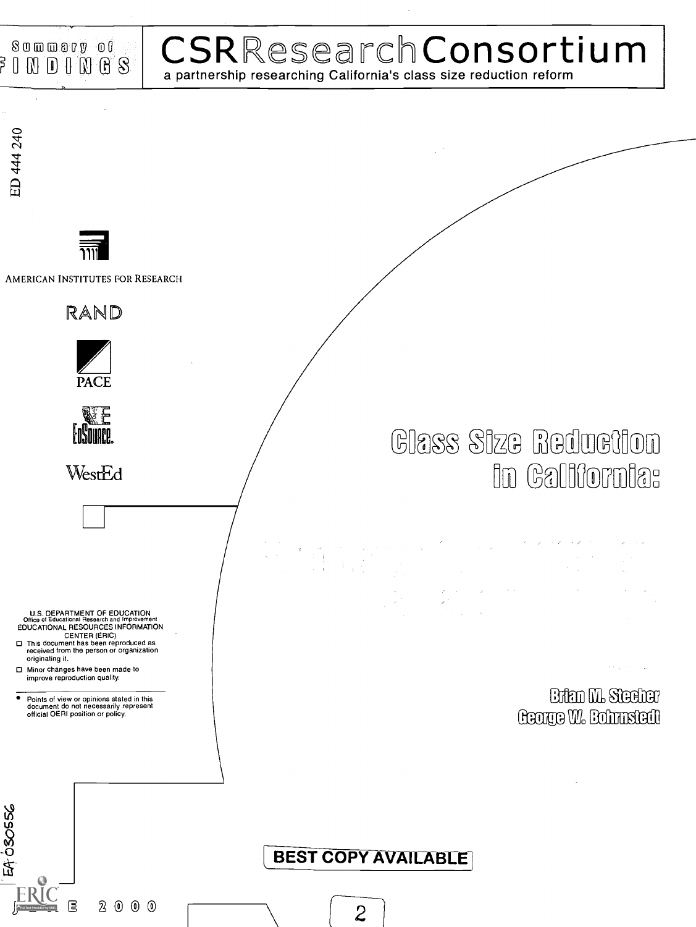

### 4.1 CSRResearchConsortium a partnership researching California's class size reduction reform

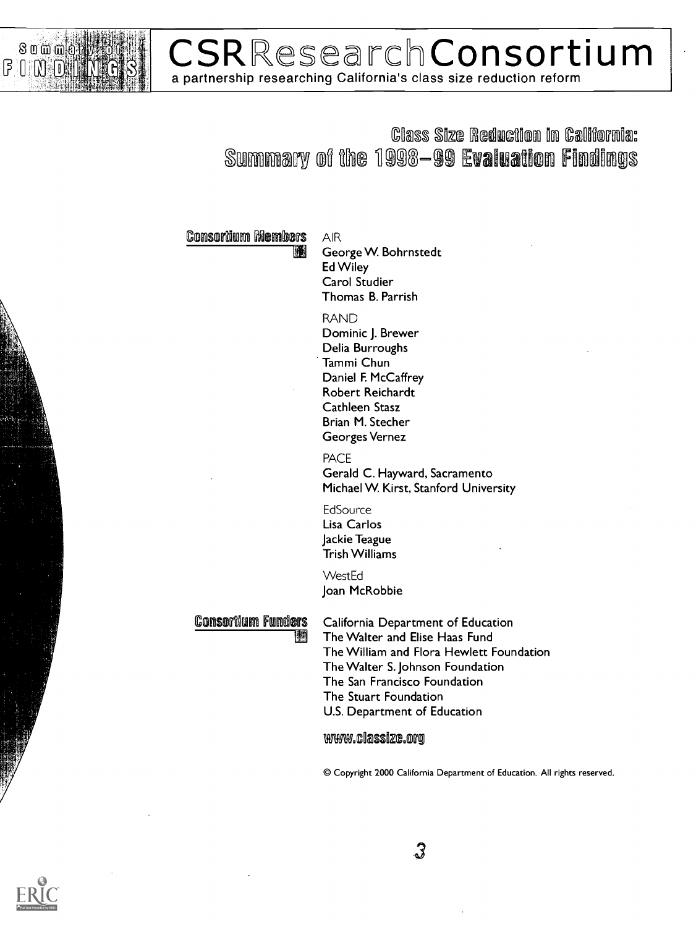

### **CSRResearchConsortium** a partnership researching California's class size reduction reform

#### **Class Size Reduction in California:** Summary of the 1998–99 Evaluation Findings

#### **Consortium Members**

AIR George W. Bohrnstedt Ed Wiley Carol Studier Thomas B. Parrish

#### RAND

Dominic J. Brewer Delia Burroughs Tammi Chun Daniel F. McCaffrey Robert Reichardt Cathleen Stasz Brian M. Stecher Georges Vernez

PACE Gerald C. Hayward, Sacramento Michael W. Kirst, Stanford University

**EdSource** Lisa Carlos Jackie Teague Trish Williams

**WestEd** Joan McRobbie

### Consortium Funders<br>**Miles**

California Department of Education The Walter and Elise Haas Fund The William and Flora Hewlett Foundation The Walter S. Johnson Foundation The San Francisco Foundation The Stuart Foundation U.S. Department of Education

www.classize.org

© Copyright 2000 California Department of Education. All rights reserved.

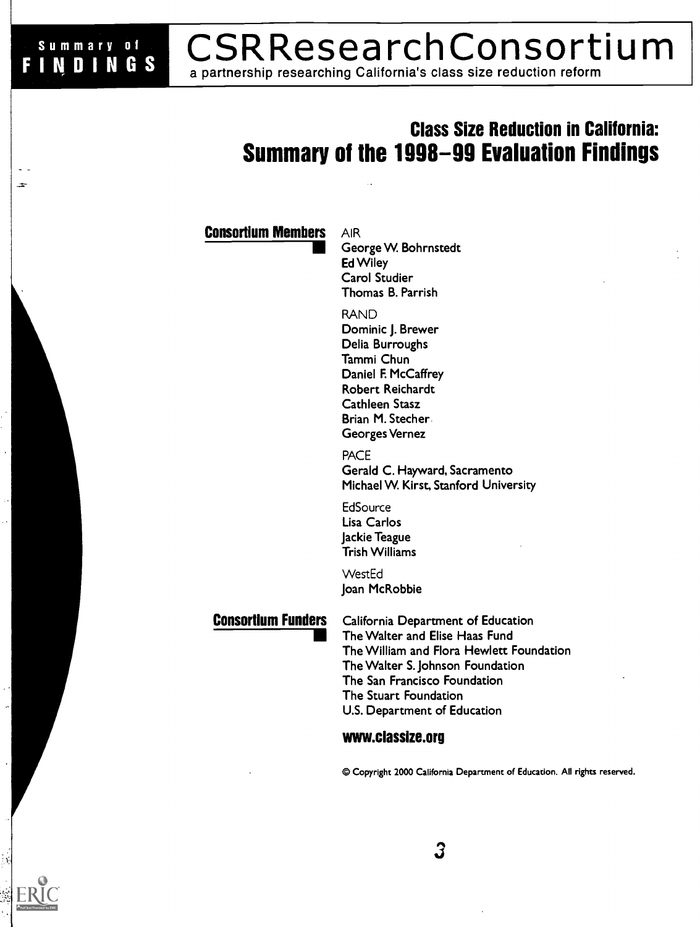#### **CSRResearchConsortium FINDINGS** a partnership researching California's class size reduction reform

### Class Size Reduction in California: Summary of the 1998-99 Evaluation Findings

#### **Consortium Members AIR**

Summary of

George W. Bohrnstedt Ed Wiley Carol Studier Thomas B. Parrish

RAND

Dominic J. Brewer Delia Burroughs Tammi Chun Daniel F. McCaffrey Robert Reichardt Cathleen Stasz Brian M. Stecher. Georges Vernez

PACE Gerald C. Hayward, Sacramento Michael W. Kirst, Stanford University

**EdSource** Lisa Carlos Jackie Teague Trish Williams

WestEd Joan McRobbie

Consortium Funders California Department of Education The Walter and Elise Haas Fund The William and Flora Hewlett Foundation The Walter S. Johnson Foundation The San Francisco Foundation The Stuart Foundation U.S. Department of Education

3

#### www.classize.org

© Copyright 2000 California Department of Education. All rights reserved.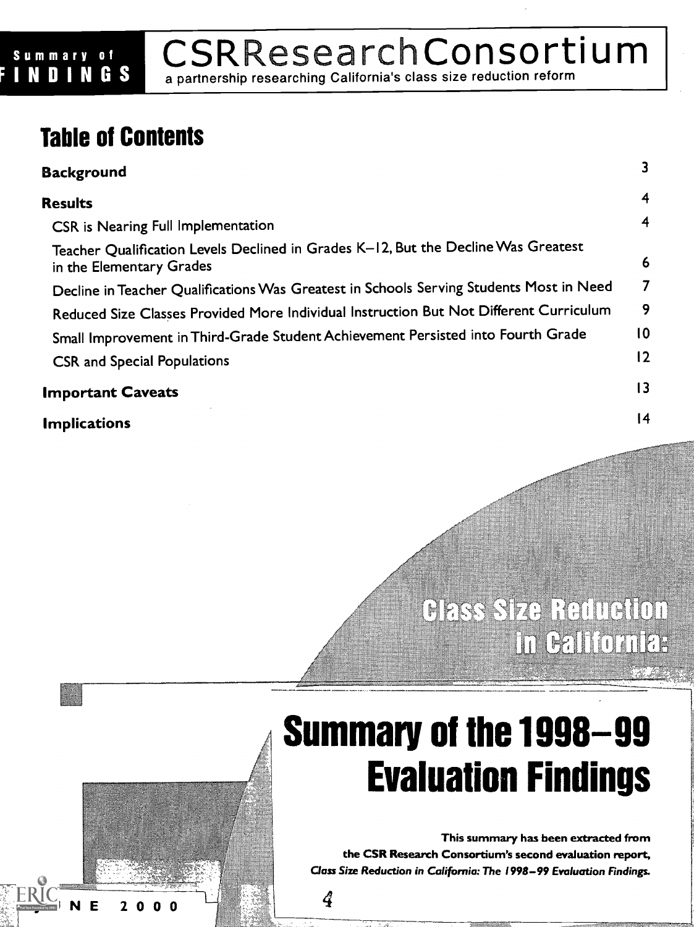# Summary of  $\mathsf{CSRRes}$ esearching California's class size reduction reform

a partnership researching California's class size reduction reform

### Table of Contents

| <b>Background</b>                                                                                              | 3              |
|----------------------------------------------------------------------------------------------------------------|----------------|
| <b>Results</b>                                                                                                 | 4              |
| CSR is Nearing Full Implementation                                                                             | 4              |
| Teacher Qualification Levels Declined in Grades K-12, But the Decline Was Greatest<br>in the Elementary Grades | 6              |
| Decline in Teacher Qualifications Was Greatest in Schools Serving Students Most in Need                        | 7              |
| Reduced Size Classes Provided More Individual Instruction But Not Different Curriculum                         | 9              |
| Small Improvement in Third-Grade Student Achievement Persisted into Fourth Grade                               | $\overline{0}$ |
| <b>CSR and Special Populations</b>                                                                             | 12             |
| <b>Important Caveats</b>                                                                                       | 3              |
| <b>Implications</b>                                                                                            | 14             |

4

## **CESS SIZE RETURIOT** in ealtichter

# Summary of the 1998-99 Evaluation Findings

This summary has been extracted from the CSR Research Consortium's second evaluation report, Class Size Reduction in California: The 1998-99 Evaluation Findings.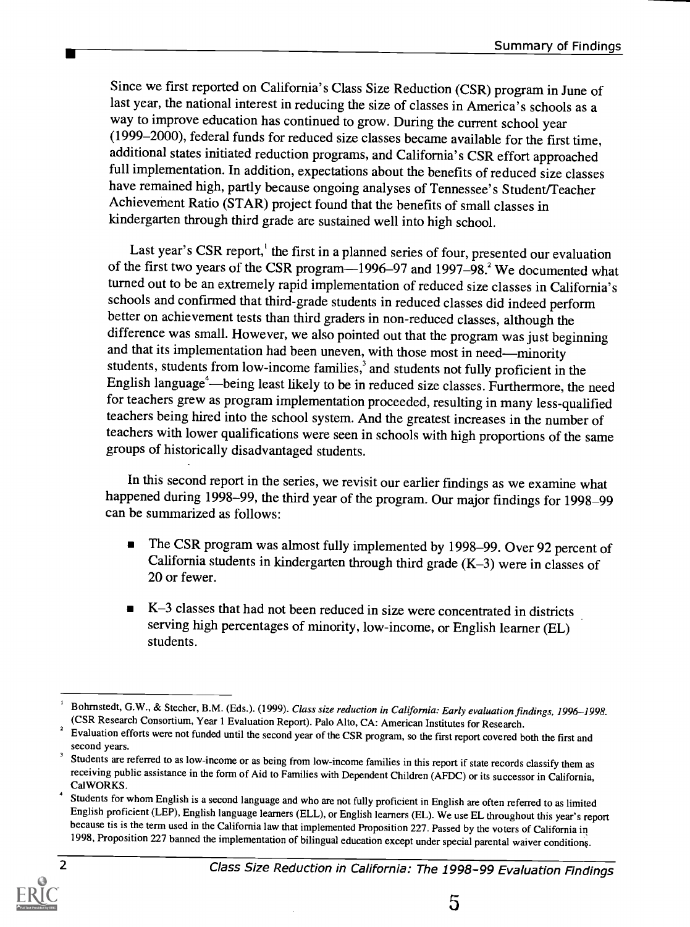Since we first reported on California's Class Size Reduction (CSR) program in June of last year, the national interest in reducing the size of classes in America's schools as a way to improve education has continued to grow. During the current school year (1999-2000), federal funds for reduced size classes became available for the first time, additional states initiated reduction programs, and California's CSR effort approached full implementation. In addition, expectations about the benefits of reduced size classes have remained high, partly because ongoing analyses of Tennessee's Student/Teacher Achievement Ratio (STAR) project found that the benefits of small classes in kindergarten through third grade are sustained well into high school.

Last year's CSR report,<sup>1</sup> the first in a planned series of four, presented our evaluation of the first two years of the CSR program—1996–97 and 1997–98.<sup>2</sup> We documented what turned out to be an extremely rapid implementation of reduced size classes in California's schools and confirmed that third-grade students in reduced classes did indeed perform better on achievement tests than third graders in non-reduced classes, although the difference was small. However, we also pointed out that the program was just beginning and that its implementation had been uneven, with those most in need-minority students, students from low-income families,<sup>3</sup> and students not fully proficient in the English language<sup>4</sup>—being least likely to be in reduced size classes. Furthermore, the need for teachers grew as program implementation proceeded, resulting in many less-qualified teachers being hired into the school system. And the greatest increases in the number of teachers with lower qualifications were seen in schools with high proportions of the same groups of historically disadvantaged students.

In this second report in the series, we revisit our earlier findings as we examine what happened during 1998-99, the third year of the program. Our major findings for 1998-99 can be summarized as follows:

- The CSR program was almost fully implemented by 1998-99. Over 92 percent of  $\blacksquare$ California students in kindergarten through third grade  $(K-3)$  were in classes of 20 or fewer.
- K-3 classes that had not been reduced in size were concentrated in districts serving high percentages of minority, low-income, or English learner (EL) students.

<sup>&</sup>lt;sup>4</sup> Students for whom English is a second language and who are not fully proficient in English are often referred to as limited English proficient (LEP), English language learners (ELL), or English learners (EL). We use EL throughout this year's report because tis is the term used in the California law that implemented Proposition 227. Passed by the voters of California in 1998, Proposition 227 banned the implementation of bilingual education except under special parental waiver conditions.



Bohrnstedt, G.W., & Stecher, B.M. (Eds.). (1999). Class size reduction in California: Early evaluation findings, 1996-1998. (CSR Research Consortium, Year I Evaluation Report). Palo Alto, CA: American Institutes for Research.

<sup>&</sup>lt;sup>2</sup> Evaluation efforts were not funded until the second year of the CSR program, so the first report covered both the first and second years.

<sup>&</sup>lt;sup>3</sup> Students are referred to as low-income or as being from low-income families in this report if state records classify them as receiving public assistance in the form of Aid to Families with Dependent Children (AFDC) or its successor in California, Ca1WORKS.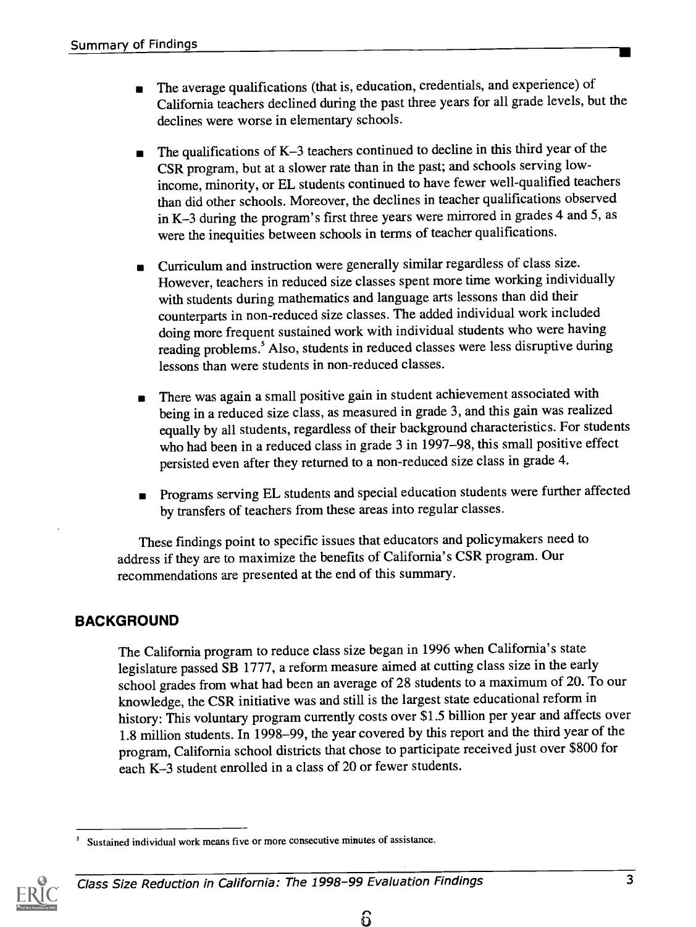- The average qualifications (that is, education, credentials, and experience) of California teachers declined during the past three years for all grade levels, but the declines were worse in elementary schools.
- The qualifications of K-3 teachers continued to decline in this third year of the CSR program, but at a slower rate than in the past; and schools serving lowincome, minority, or EL students continued to have fewer well-qualified teachers than did other schools. Moreover, the declines in teacher qualifications observed in K-3 during the program's first three years were mirrored in grades 4 and 5, as were the inequities between schools in terms of teacher qualifications.
- Curriculum and instruction were generally similar regardless of class size. However, teachers in reduced size classes spent more time working individually with students during mathematics and language arts lessons than did their counterparts in non-reduced size classes. The added individual work included doing more frequent sustained work with individual students who were having reading problems.<sup>5</sup> Also, students in reduced classes were less disruptive during lessons than were students in non-reduced classes.
- There was again a small positive gain in student achievement associated with being in a reduced size class, as measured in grade 3, and this gain was realized equally by all students, regardless of their background characteristics. For students who had been in a reduced class in grade 3 in 1997-98, this small positive effect persisted even after they returned to a non-reduced size class in grade 4.
- Programs serving EL students and special education students were further affected by transfers of teachers from these areas into regular classes.

These findings point to specific issues that educators and policymakers need to address if they are to maximize the benefits of California's CSR program. Our recommendations are presented at the end of this summary.

#### **BACKGROUND**

The California program to reduce class size began in 1996 when California's state legislature passed SB 1777, a reform measure aimed at cutting class size in the early school grades from what had been an average of 28 students to a maximum of 20. To our knowledge, the CSR initiative was and still is the largest state educational reform in history: This voluntary program currently costs over \$1.5 billion per year and affects over 1.8 million students. In 1998-99, the year covered by this report and the third year of the program, California school districts that chose to participate received just over \$800 for each K-3 student enrolled in a class of 20 or fewer students.

<sup>5</sup> Sustained individual work means five or more consecutive minutes of assistance.



Class Size Reduction in California: The 1998-99 Evaluation Findings 3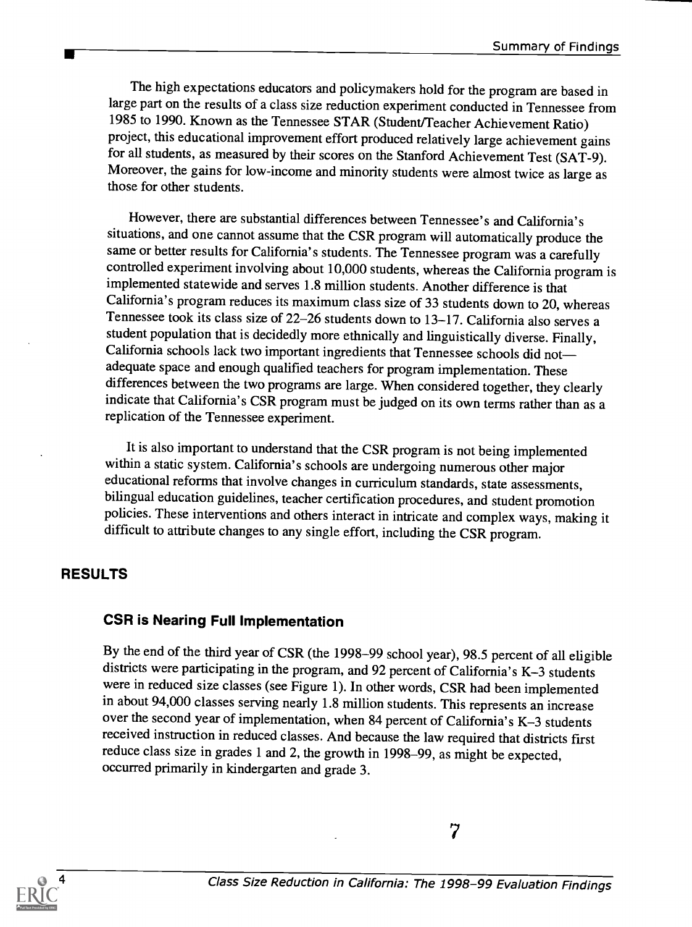The high expectations educators and policymakers hold for the program are based in large part on the results of a class size reduction experiment conducted in Tennessee from 1985 to 1990. Known as the Tennessee STAR (Student/Teacher Achievement Ratio) project, this educational improvement effort produced relatively large achievement gains for all students, as measured by their scores on the Stanford Achievement Test (SAT-9). Moreover, the gains for low-income and minority students were almost twice as large as those for other students.

However, there are substantial differences between Tennessee's and California's situations, and one cannot assume that the CSR program will automatically produce the same or better results for California's students. The Tennessee program was a carefully controlled experiment involving about 10,000 students, whereas the California program is implemented statewide and serves 1.8 million students. Another difference is that California's program reduces its maximum class size of 33 students down to 20, whereas Tennessee took its class size of 22-26 students down to 13-17. California also serves a student population that is decidedly more ethnically and linguistically diverse. Finally, California schools lack two important ingredients that Tennessee schools did not adequate space and enough qualified teachers for program implementation. These differences between the two programs are large. When considered together, they clearly indicate that California's CSR program must be judged on its own terms rather than as a replication of the Tennessee experiment.

It is also important to understand that the CSR program is not being implemented within a static system. California's schools are undergoing numerous other major educational reforms that involve changes in curriculum standards, state assessments, bilingual education guidelines, teacher certification procedures, and student promotion policies. These interventions and others interact in intricate and complex ways, making it difficult to attribute changes to any single effort, including the CSR program.

#### RESULTS

#### CSR is Nearing Full Implementation

By the end of the third year of CSR (the 1998-99 school year), 98.5 percent of all eligible districts were participating in the program, and 92 percent of California's K-3 students were in reduced size classes (see Figure 1). In other words, CSR had been implemented in about 94,000 classes serving nearly 1.8 million students. This represents an increase over the second year of implementation, when 84 percent of California's K-3 students received instruction in reduced classes. And because the law required that districts first reduce class size in grades 1 and 2, the growth in 1998-99, as might be expected, occurred primarily in kindergarten and grade 3.



Class Size Reduction in California: The 1998-99 Evaluation Findings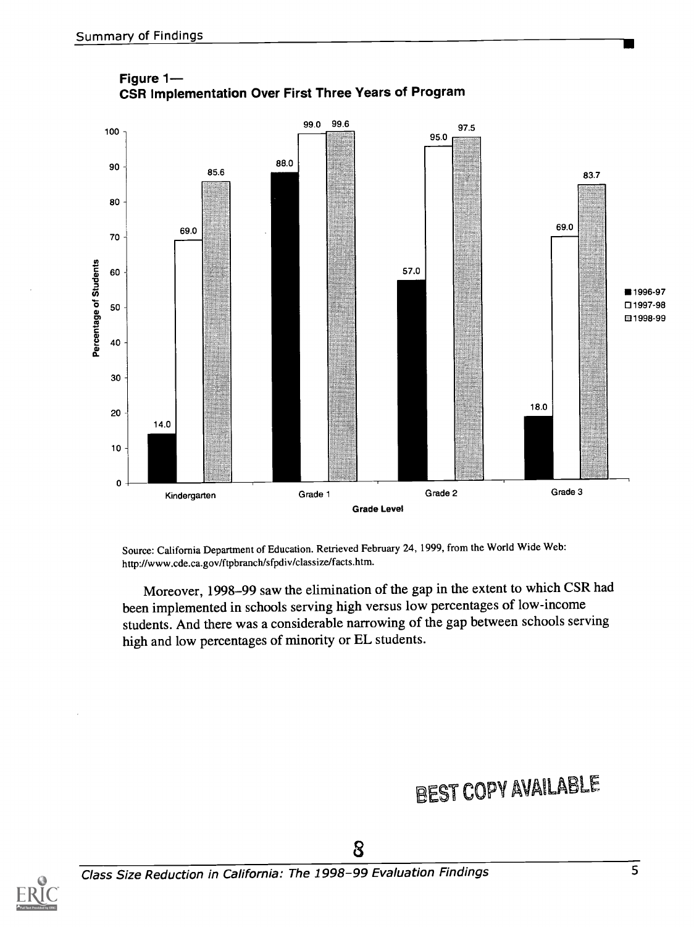



Source: California Department of Education. Retrieved February 24, 1999, from the World Wide Web: http://www.cde.ca.gov/ftpbranch/sfpdiv/classize/facts.htm.

Moreover, 1998-99 saw the elimination of the gap in the extent to which CSR had been implemented in schools serving high versus low percentages of low-income students. And there was a considerable narrowing of the gap between schools serving high and low percentages of minority or EL students.

### BEST COPY AVAILABLE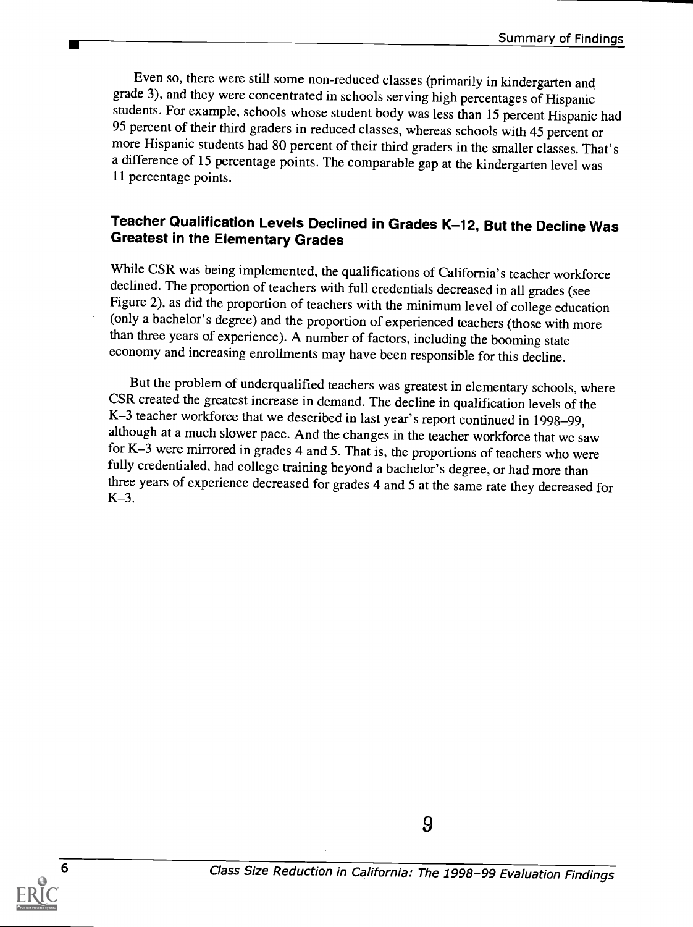Even so, there were still some non-reduced classes (primarily in kindergarten and grade 3), and they were concentrated in schools serving high percentages of Hispanic students. For example, schools whose student body was less than 15 percent Hispanic had 95 percent of their third graders in reduced classes, whereas schools with 45 percent or more Hispanic students had 80 percent of their third graders in the smaller classes. That's a difference of 15 percentage points. The comparable gap at the kindergarten level was 11 percentage points.

## Teacher Qualification Levels Declined in Grades K-12, But the Decline Was<br>Greatest in the Elementary Grades

While CSR was being implemented, the qualifications of California's teacher workforce declined. The proportion of teachers with full credentials decreased in all grades (see Figure 2), as did the proportion of teachers with the minimum level of college education (only a bachelor's degree) and the proportion of experienced teachers (those with more than three years of experience). A number of factors, including the booming state economy and increasing enrollments may have been responsible for this decline.

But the problem of underqualified teachers was greatest in elementary schools, where CSR created the greatest increase in demand. The decline in qualification levels of the K-3 teacher workforce that we described in last year's report continued in 1998-99, although at a much slower pace. And the changes in the teacher workforce that we saw for K-3 were mirrored in grades 4 and 5. That is, the proportions of teachers who were fully credentialed, had college training beyond a bachelor's degree, or had more than three years of experience decreased for grades 4 and 5 at the same rate they decreased for K-3.

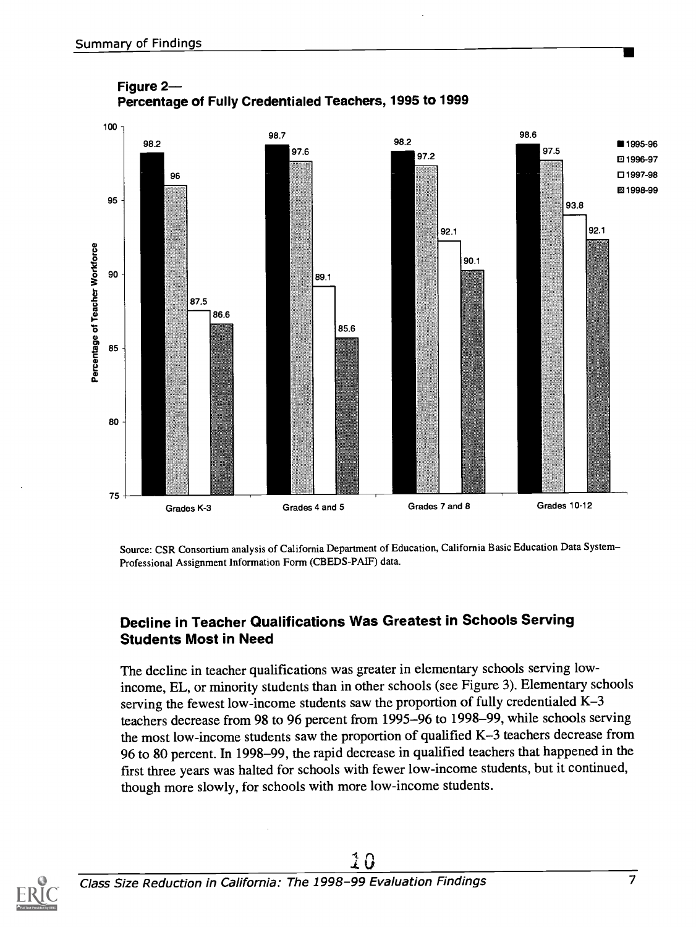

Figure 2 Percentage of Fully Credentialed Teachers, 1995 to 1999

Source: CSR Consortium analysis of California Department of Education, California Basic Education Data System Professional Assignment Information Form (CBEDS-PAIF) data.

#### Decline in Teacher Qualifications Was Greatest in Schools Serving Students Most in Need

The decline in teacher qualifications was greater in elementary schools serving lowincome, EL, or minority students than in other schools (see Figure 3). Elementary schools serving the fewest low-income students saw the proportion of fully credentialed K-3 teachers decrease from 98 to 96 percent from 1995-96 to 1998-99, while schools serving the most low-income students saw the proportion of qualified K-3 teachers decrease from 96 to 80 percent. In 1998-99, the rapid decrease in qualified teachers that happened in the first three years was halted for schools with fewer low-income students, but it continued, though more slowly, for schools with more low-income students.

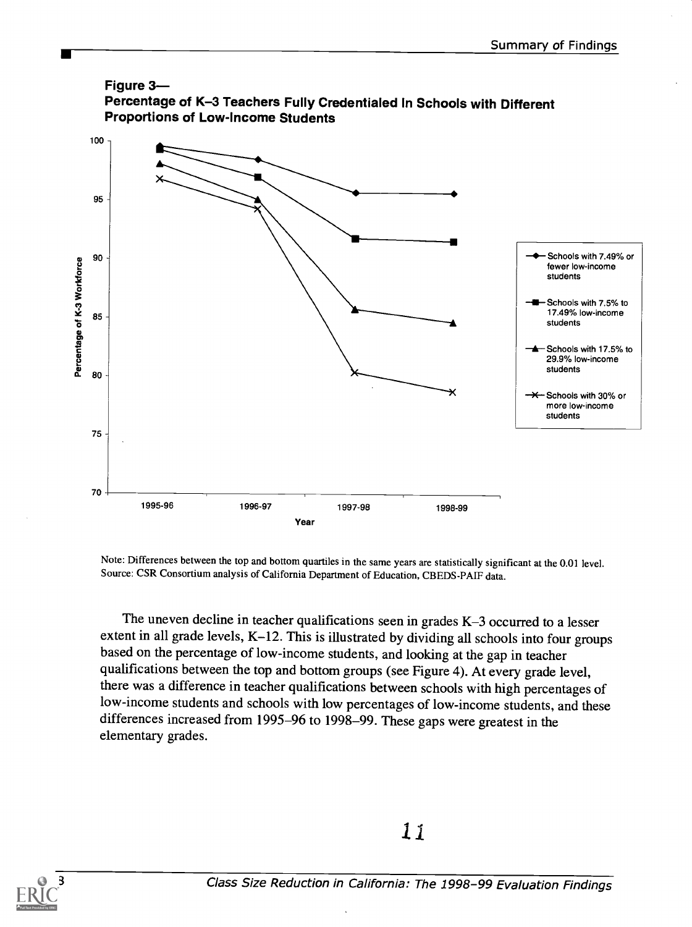

Note: Differences between the top and bottom quartiles in the same years are statistically significant at the 0.01 level. Source: CSR Consortium analysis of California Department of Education, CBEDS-PAIF data.

The uneven decline in teacher qualifications seen in grades K-3 occurred to a lesser extent in all grade levels, K-12. This is illustrated by dividing all schools into four groups based on the percentage of low-income students, and looking at the gap in teacher qualifications between the top and bottom groups (see Figure 4). At every grade level, there was a difference in teacher qualifications between schools with high percentages of low-income students and schools with low percentages of low-income students, and these differences increased from 1995-96 to 1998-99. These gaps were greatest in the elementary grades.

11

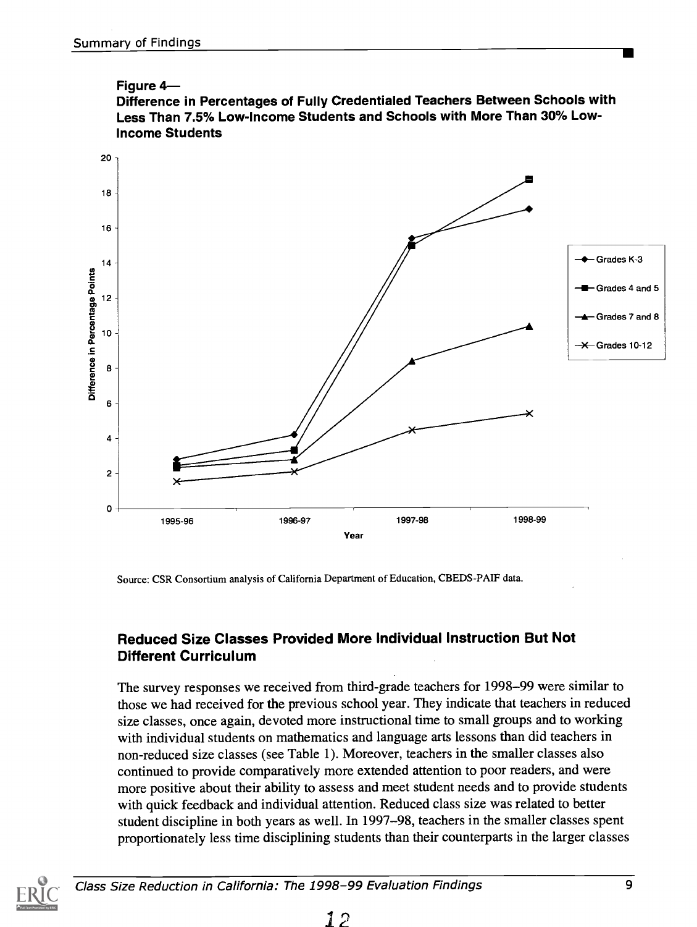



Source: CSR Consortium analysis of California Department of Education, CBEDS-PAIF data.

#### Reduced Size Classes Provided More Individual Instruction But Not Different Curriculum

The survey responses we received from third-grade teachers for 1998-99 were similar to those we had received for the previous school year. They indicate that teachers in reduced size classes, once again, devoted more instructional time to small groups and to working with individual students on mathematics and language arts lessons than did teachers in non-reduced size classes (see Table 1). Moreover, teachers in the smaller classes also continued to provide comparatively more extended attention to poor readers, and were more positive about their ability to assess and meet student needs and to provide students with quick feedback and individual attention. Reduced class size was related to better student discipline in both years as well. In 1997-98, teachers in the smaller classes spent proportionately less time disciplining students than their counterparts in the larger classes

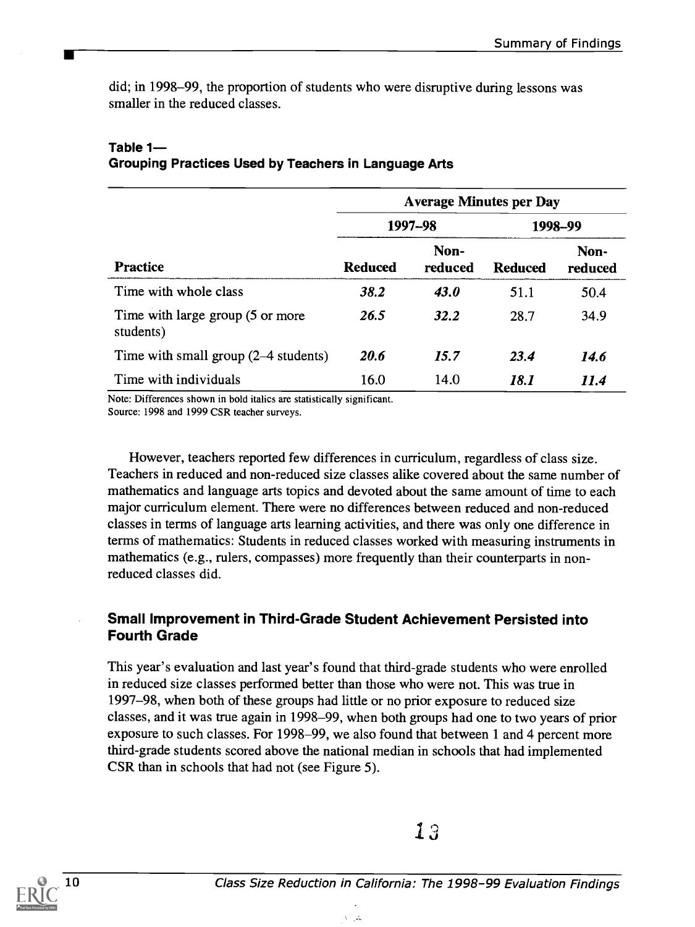did; in 1998-99, the proportion of students who were disruptive during lessons was smaller in the reduced classes.

|                                               | <b>Average Minutes per Day</b> |                 |                |                 |
|-----------------------------------------------|--------------------------------|-----------------|----------------|-----------------|
|                                               | 1997-98                        |                 | 1998-99        |                 |
| <b>Practice</b>                               | <b>Reduced</b>                 | Non-<br>reduced | <b>Reduced</b> | Non-<br>reduced |
| Time with whole class                         | 38.2                           | <b>43.0</b>     | 51.1           | 50.4            |
| Time with large group (5 or more<br>students) | 26.5                           | <b>32.2</b>     | 28.7           | 34.9            |
| Time with small group (2–4 students)          | 20.6                           | 15.7            | 23.4           | 14.6            |
| Time with individuals                         | 16.0                           | 14.0            | 18.1           | 11.4            |

#### Table 1 Grouping Practices Used by Teachers in Language Arts

Note: Differences shown in bold italics are statistically significant. Source: 1998 and 1999 CSR teacher surveys.

However, teachers reported few differences in curriculum, regardless of class size. Teachers in reduced and non-reduced size classes alike covered about the same number of mathematics and language arts topics and devoted about the same amount of time to each major curriculum element. There were no differences between reduced and non-reduced classes in terms of language arts learning activities, and there was only one difference in terms of mathematics: Students in reduced classes worked with measuring instruments in mathematics (e.g., rulers, compasses) more frequently than their counterparts in nonreduced classes did.

#### Small Improvement in Third-Grade Student Achievement Persisted into Fourth Grade

This year's evaluation and last year's found that third-grade students who were enrolled in reduced size classes performed better than those who were not. This was true in 1997-98, when both of these groups had little or no prior exposure to reduced size classes, and it was true again in 1998-99, when both groups had one to two years of prior exposure to such classes. For 1998-99, we also found that between 1 and 4 percent more third-grade students scored above the national median in schools that had implemented CSR than in schools that had not (see Figure 5).

 $\lambda = 1.5$ 

 $13$ 

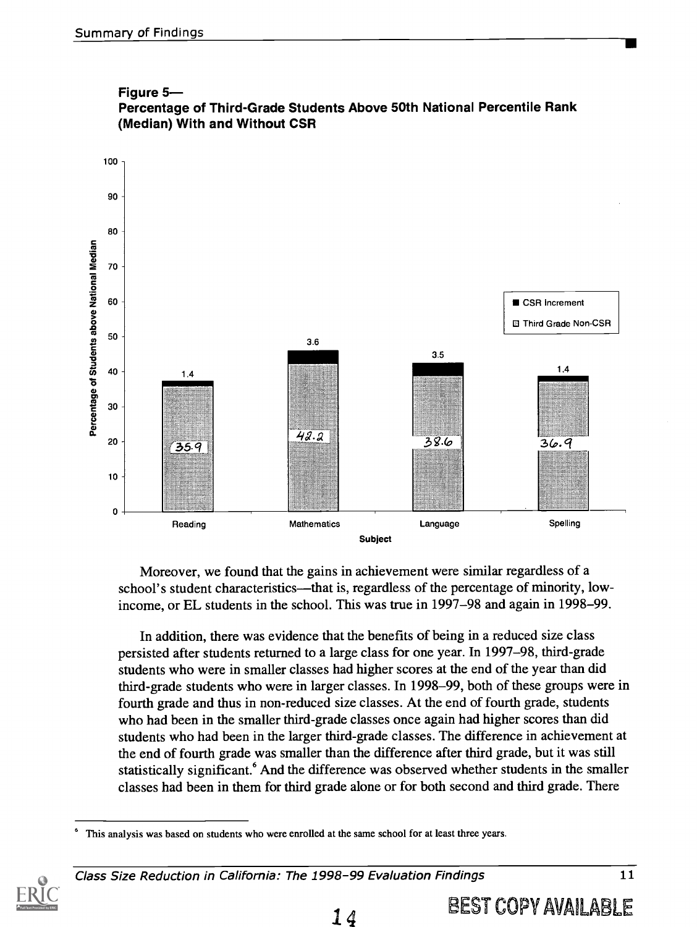



Moreover, we found that the gains in achievement were similar regardless of a school's student characteristics—that is, regardless of the percentage of minority, lowincome, or EL students in the school. This was true in 1997-98 and again in 1998-99.

In addition, there was evidence that the benefits of being in a reduced size class persisted after students returned to a large class for one year. In 1997-98, third-grade students who were in smaller classes had higher scores at the end of the year than did third-grade students who were in larger classes. In 1998-99, both of these groups were in fourth grade and thus in non-reduced size classes. At the end of fourth grade, students who had been in the smaller third-grade classes once again had higher scores than did students who had been in the larger third-grade classes. The difference in achievement at the end of fourth grade was smaller than the difference after third grade, but it was still statistically significant.<sup>6</sup> And the difference was observed whether students in the smaller classes had been in them for third grade alone or for both second and third grade. There

This analysis was based on students who were enrolled at the same school for at least three years.

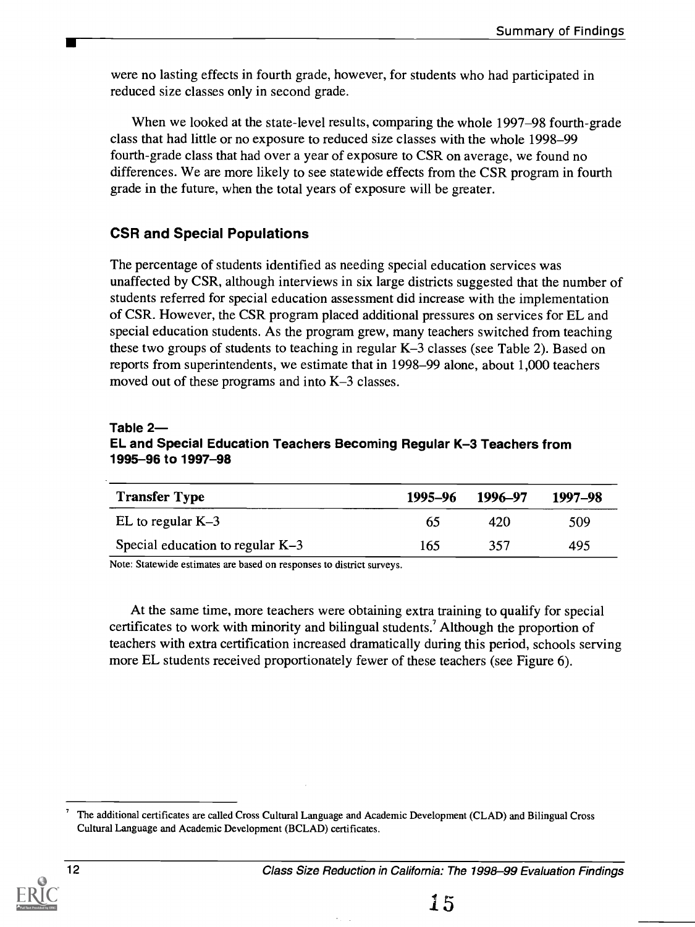were no lasting effects in fourth grade, however, for students who had participated in reduced size classes only in second grade.

When we looked at the state-level results, comparing the whole 1997-98 fourth-grade class that had little or no exposure to reduced size classes with the whole 1998-99 fourth-grade class that had over a year of exposure to CSR on average, we found no differences. We are more likely to see statewide effects from the CSR program in fourth grade in the future, when the total years of exposure will be greater.

#### CSR and Special Populations

The percentage of students identified as needing special education services was unaffected by CSR, although interviews in six large districts suggested that the number of students referred for special education assessment did increase with the implementation of CSR. However, the CSR program placed additional pressures on services for EL and special education students. As the program grew, many teachers switched from teaching these two groups of students to teaching in regular K-3 classes (see Table 2). Based on reports from superintendents, we estimate that in 1998-99 alone, about 1,000 teachers moved out of these programs and into K-3 classes.

#### Table 2

#### EL and Special Education Teachers Becoming Regular K-3 Teachers from 1995-96 to 1997-98

| <b>Transfer Type</b>               | 1995–96 | 1996–97 | 1997–98 |
|------------------------------------|---------|---------|---------|
| EL to regular $K-3$                | 65      | 420     | 509     |
| Special education to regular $K-3$ | 165     | 357     | 495     |

Note: Statewide estimates are based on responses to district surveys.

At the same time, more teachers were obtaining extra training to qualify for special certificates to work with minority and bilingual students.' Although the proportion of teachers with extra certification increased dramatically during this period, schools serving more EL students received proportionately fewer of these teachers (see Figure 6).

$$
\frac{1}{\sum_{\text{full heat Proof of by ERIC}}}
$$

The additional certificates are called Cross Cultural Language and Academic Development (CLAD) and Bilingual Cross Cultural Language and Academic Development (BCLAD) certificates.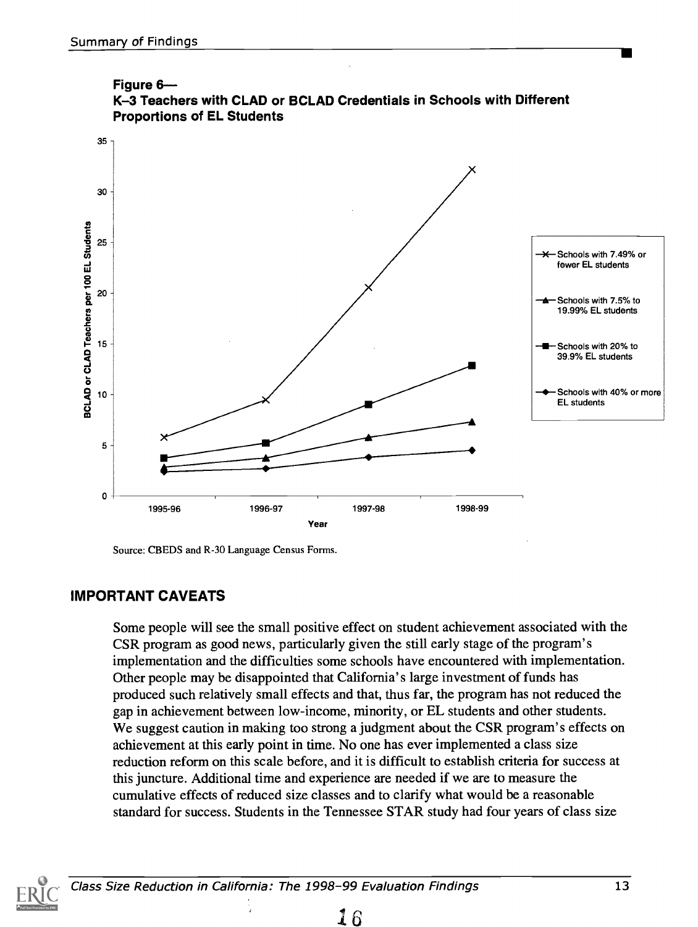

Figure 6

Source: CBEDS and R-30 Language Census Forms.

#### IMPORTANT CAVEATS

Some people will see the small positive effect on student achievement associated with the CSR program as good news, particularly given the still early stage of the program's implementation and the difficulties some schools have encountered with implementation. Other people may be disappointed that California's large investment of funds has produced such relatively small effects and that, thus far, the program has not reduced the gap in achievement between low-income, minority, or EL students and other students. We suggest caution in making too strong a judgment about the CSR program's effects on achievement at this early point in time. No one has ever implemented a class size reduction reform on this scale before, and it is difficult to establish criteria for success at this juncture. Additional time and experience are needed if we are to measure the cumulative effects of reduced size classes and to clarify what would be a reasonable standard for success. Students in the Tennessee STAR study had four years of class size



Class Size Reduction in California: The 1998-99 Evaluation Findings 713 13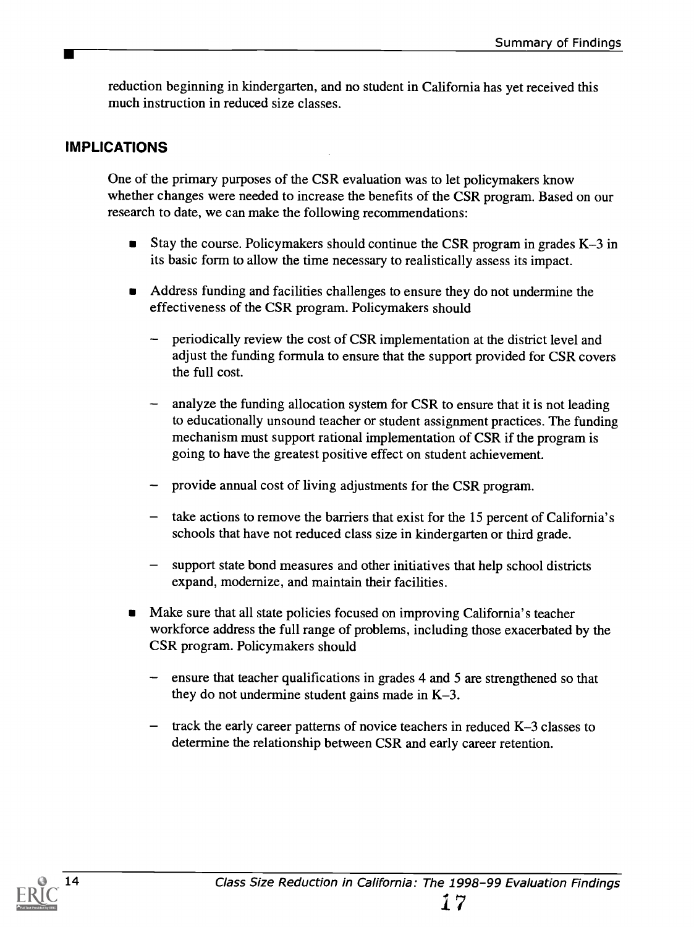reduction beginning in kindergarten, and no student in California has yet received this much instruction in reduced size classes.

#### IMPLICATIONS

One of the primary purposes of the CSR evaluation was to let policymakers know whether changes were needed to increase the benefits of the CSR program. Based on our research to date, we can make the following recommendations:

- **Stay the course. Policymakers should continue the CSR program in grades K–3 in** its basic form to allow the time necessary to realistically assess its impact.
- Address funding and facilities challenges to ensure they do not undermine the effectiveness of the CSR program. Policymakers should
	- periodically review the cost of CSR implementation at the district level and adjust the funding formula to ensure that the support provided for CSR covers the full cost.
	- analyze the funding allocation system for CSR to ensure that it is not leading to educationally unsound teacher or student assignment practices. The funding mechanism must support rational implementation of CSR if the program is going to have the greatest positive effect on student achievement.
	- provide annual cost of living adjustments for the CSR program.
	- take actions to remove the barriers that exist for the 15 percent of California's schools that have not reduced class size in kindergarten or third grade.
	- support state bond measures and other initiatives that help school districts expand, modernize, and maintain their facilities.
- Make sure that all state policies focused on improving California's teacher workforce address the full range of problems, including those exacerbated by the CSR program. Policymakers should
	- ensure that teacher qualifications in grades 4 and 5 are strengthened so that they do not undermine student gains made in K-3.
	- $-$  track the early career patterns of novice teachers in reduced K-3 classes to determine the relationship between CSR and early career retention.

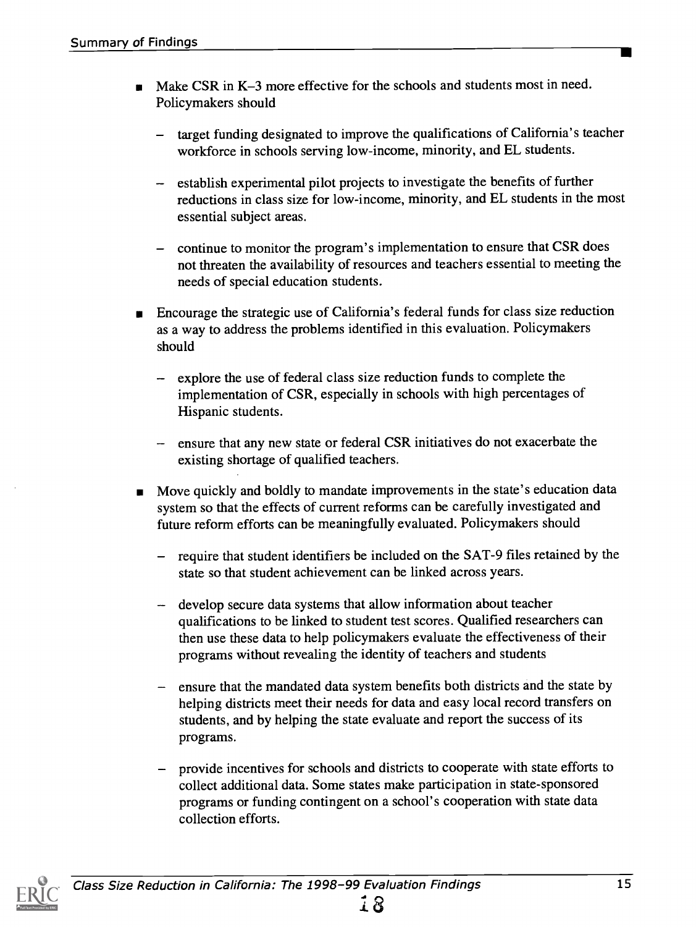- Make CSR in K-3 more effective for the schools and students most in need. Policymakers should
	- target funding designated to improve the qualifications of California's teacher workforce in schools serving low-income, minority, and EL students.
	- establish experimental pilot projects to investigate the benefits of further reductions in class size for low-income, minority, and EL students in the most essential subject areas.
	- continue to monitor the program's implementation to ensure that CSR does not threaten the availability of resources and teachers essential to meeting the needs of special education students.
- Encourage the strategic use of California's federal funds for class size reduction as a way to address the problems identified in this evaluation. Policymakers should
	- explore the use of federal class size reduction funds to complete the implementation of CSR, especially in schools with high percentages of Hispanic students.
	- ensure that any new state or federal CSR initiatives do not exacerbate the existing shortage of qualified teachers.
- Move quickly and boldly to mandate improvements in the state's education data system so that the effects of current reforms can be carefully investigated and future reform efforts can be meaningfully evaluated. Policymakers should
	- require that student identifiers be included on the SAT-9 files retained by the state so that student achievement can be linked across years.
	- develop secure data systems that allow information about teacher qualifications to be linked to student test scores. Qualified researchers can then use these data to help policymakers evaluate the effectiveness of their programs without revealing the identity of teachers and students
	- ensure that the mandated data system benefits both districts and the state by helping districts meet their needs for data and easy local record transfers on students, and by helping the state evaluate and report the success of its programs.
	- provide incentives for schools and districts to cooperate with state efforts to collect additional data. Some states make participation in state-sponsored programs or funding contingent on a school's cooperation with state data collection efforts.

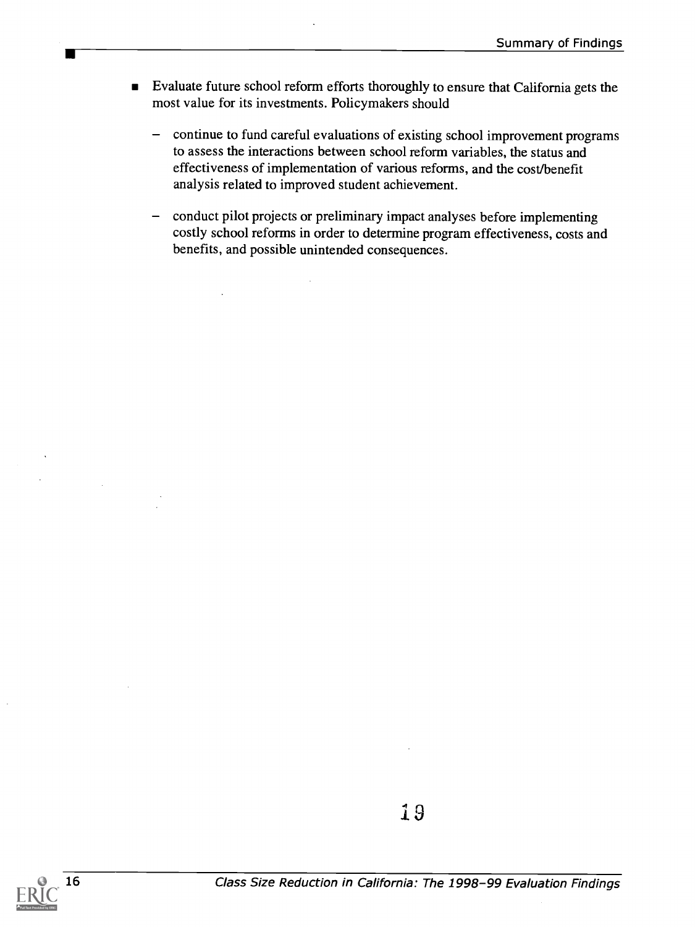- Evaluate future school reform efforts thoroughly to ensure that California gets the  $\blacksquare$ most value for its investments. Policymakers should
	- continue to fund careful evaluations of existing school improvement programs to assess the interactions between school reform variables, the status and effectiveness of implementation of various reforms, and the cost/benefit analysis related to improved student achievement.
	- conduct pilot projects or preliminary impact analyses before implementing costly school reforms in order to determine program effectiveness, costs and benefits, and possible unintended consequences.





n li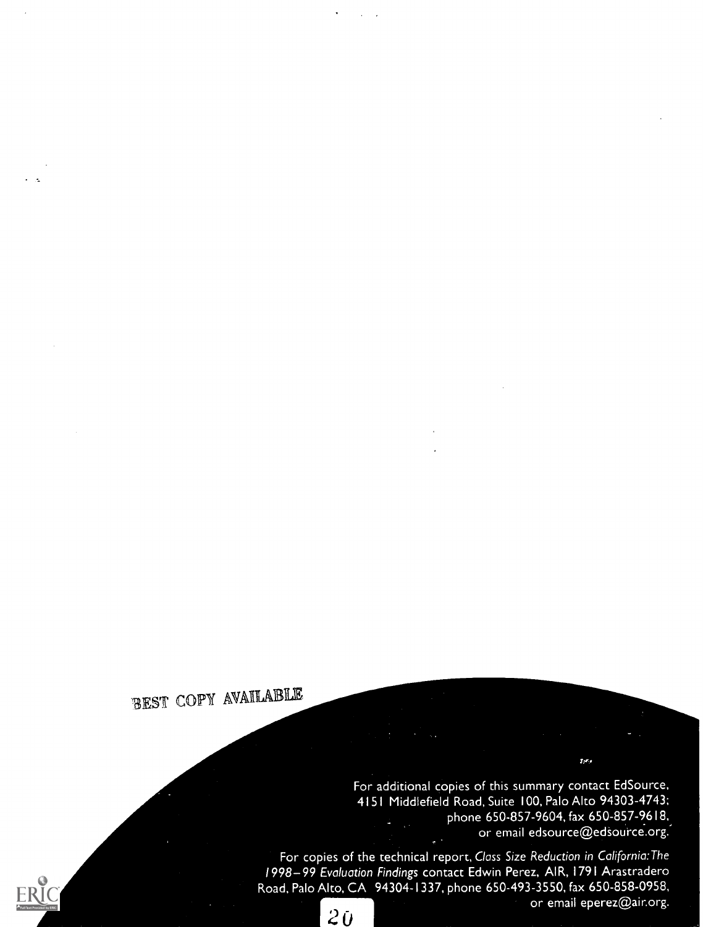### BEST COPY AVAILABLE

For additional copies of this summary contact EdSource, 4151 Middlefield Road, Suite 100, Palo Alto 94303-4743; phone 650-857-9604, fax 650-857-9618, or email edsource@edsource.org.

 $\mathbf{p}_2$ 

For copies of the technical report, Class Size Reduction in California: The 1998-99 Evaluation Findings contact Edwin Perez, AIR, 1791 Arastradero Road, Palo Alto, CA 94304-1337, phone 650-493-3550, fax 650-858-0958, or email eperez@air.org.

 $20$ 

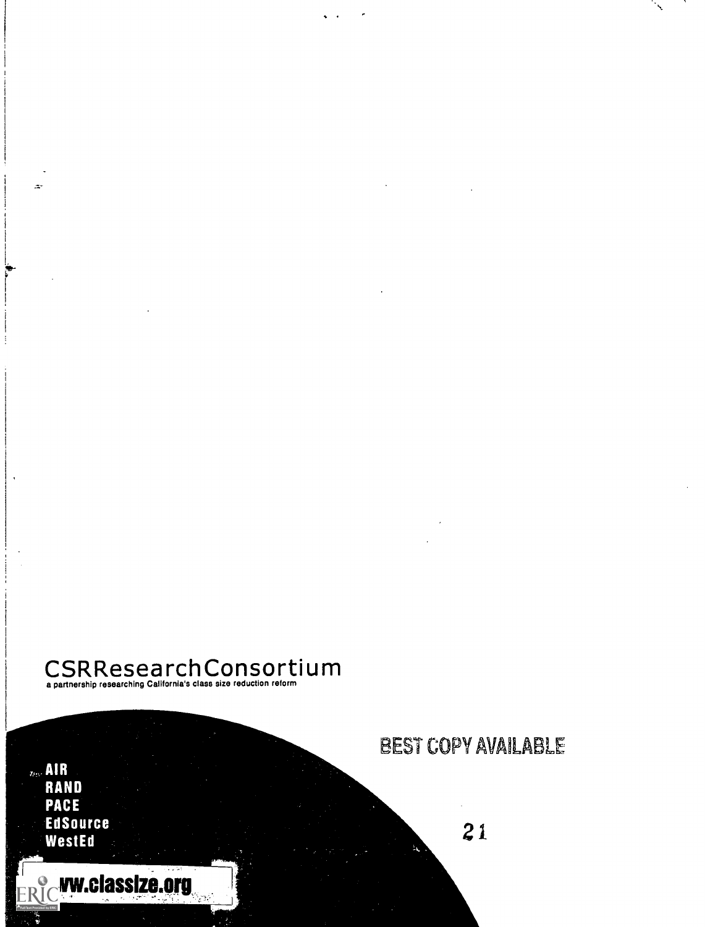### $\mathsf{CSR}$ Researching California's class size reduction reform<br>a partnership researching California's class size reduction reform

 $_{\rm 200}$  AIR RAND **PACE** EdSource<br>WestEd

'4-

**ERIC W.classize.org** 

BEST COPY AVAILABLE

21